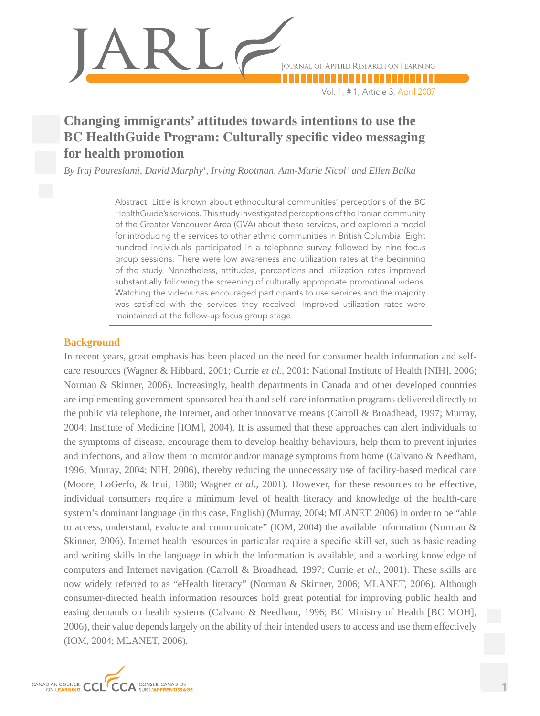

Vol. 1, # 1, Article 3, April 2007

# **Changing immigrants' attitudes towards intentions to use the BC HealthGuide Program: Culturally specific video messaging for health promotion**

*By Iraj Poureslami, David Murphy1 , Irving Rootman, Ann-Marie Nicol2 and Ellen Balka*

Abstract: Little is known about ethnocultural communities' perceptions of the BC HealthGuide's services. This study investigated perceptions of the Iranian community of the Greater Vancouver Area (GVA) about these services, and explored a model for introducing the services to other ethnic communities in British Columbia. Eight hundred individuals participated in a telephone survey followed by nine focus group sessions. There were low awareness and utilization rates at the beginning of the study. Nonetheless, attitudes, perceptions and utilization rates improved substantially following the screening of culturally appropriate promotional videos. Watching the videos has encouraged participants to use services and the majority was satisfied with the services they received. Improved utilization rates were maintained at the follow-up focus group stage.

## **Background**

In recent years, great emphasis has been placed on the need for consumer health information and selfcare resources (Wagner & Hibbard, 2001; Currie *et al.,* 2001; National Institute of Health [NIH], 2006; Norman & Skinner, 2006). Increasingly, health departments in Canada and other developed countries are implementing government-sponsored health and self-care information programs delivered directly to the public via telephone, the Internet, and other innovative means (Carroll & Broadhead, 1997; Murray, 2004; Institute of Medicine [IOM], 2004). It is assumed that these approaches can alert individuals to the symptoms of disease, encourage them to develop healthy behaviours, help them to prevent injuries and infections, and allow them to monitor and/or manage symptoms from home (Calvano & Needham, 1996; Murray, 2004; NIH, 2006), thereby reducing the unnecessary use of facility-based medical care (Moore, LoGerfo, & Inui, 1980; Wagner *et al*., 2001). However, for these resources to be effective, individual consumers require a minimum level of health literacy and knowledge of the health-care system's dominant language (in this case, English) (Murray, 2004; MLANET, 2006) in order to be "able to access, understand, evaluate and communicate" (IOM, 2004) the available information (Norman & Skinner, 2006). Internet health resources in particular require a specific skill set, such as basic reading and writing skills in the language in which the information is available, and a working knowledge of computers and Internet navigation (Carroll & Broadhead, 1997; Currie *et al*., 2001). These skills are now widely referred to as "eHealth literacy" (Norman & Skinner, 2006; MLANET, 2006). Although consumer-directed health information resources hold great potential for improving public health and easing demands on health systems (Calvano & Needham, 1996; BC Ministry of Health [BC MOH], 2006), their value depends largely on the ability of their intended users to access and use them effectively (IOM, 2004; MLANET, 2006).

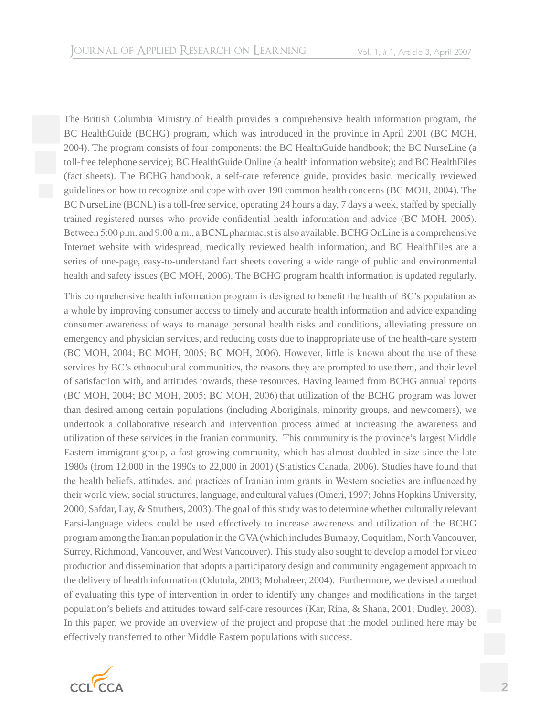The British Columbia Ministry of Health provides a comprehensive health information program, the BC HealthGuide (BCHG) program, which was introduced in the province in April 2001 (BC MOH, 2004). The program consists of four components: the BC HealthGuide handbook; the BC NurseLine (a toll-free telephone service); BC HealthGuide Online (a health information website); and BC HealthFiles (fact sheets). The BCHG handbook, a self-care reference guide, provides basic, medically reviewed guidelines on how to recognize and cope with over 190 common health concerns (BC MOH, 2004). The BC NurseLine (BCNL) is a toll-free service, operating 24 hours a day, 7 days a week, staffed by specially trained registered nurses who provide confidential health information and advice (BC MOH, 2005). Between 5:00 p.m. and 9:00 a.m., a BCNL pharmacist is also available. BCHG OnLine is a comprehensive Internet website with widespread, medically reviewed health information, and BC HealthFiles are a series of one-page, easy-to-understand fact sheets covering a wide range of public and environmental health and safety issues (BC MOH, 2006). The BCHG program health information is updated regularly.

This comprehensive health information program is designed to benefit the health of BC's population as a whole by improving consumer access to timely and accurate health information and advice expanding consumer awareness of ways to manage personal health risks and conditions, alleviating pressure on emergency and physician services, and reducing costs due to inappropriate use of the health-care system (BC MOH, 2004; BC MOH, 2005; BC MOH, 2006). However, little is known about the use of these services by BC's ethnocultural communities, the reasons they are prompted to use them, and their level of satisfaction with, and attitudes towards, these resources. Having learned from BCHG annual reports (BC MOH, 2004; BC MOH, 2005; BC MOH, 2006) that utilization of the BCHG program was lower than desired among certain populations (including Aboriginals, minority groups, and newcomers), we undertook a collaborative research and intervention process aimed at increasing the awareness and utilization of these services in the Iranian community. This community is the province's largest Middle Eastern immigrant group, a fast-growing community, which has almost doubled in size since the late 1980s (from 12,000 in the 1990s to 22,000 in 2001) (Statistics Canada, 2006). Studies have found that the health beliefs, attitudes, and practices of Iranian immigrants in Western societies are influenced by their world view, social structures, language, andcultural values (Omeri, 1997; Johns Hopkins University, 2000; Safdar, Lay, & Struthers, 2003). The goal of this study was to determine whether culturally relevant Farsi-language videos could be used effectively to increase awareness and utilization of the BCHG program among the Iranian population in the GVA (which includes Burnaby, Coquitlam, North Vancouver, Surrey, Richmond, Vancouver, and West Vancouver). This study also sought to develop a model for video production and dissemination that adopts a participatory design and community engagement approach to the delivery of health information (Odutola, 2003; Mohabeer, 2004). Furthermore, we devised a method of evaluating this type of intervention in order to identify any changes and modifications in the target population's beliefs and attitudes toward self-care resources (Kar, Rina, & Shana, 2001; Dudley, 2003). In this paper, we provide an overview of the project and propose that the model outlined here may be effectively transferred to other Middle Eastern populations with success.

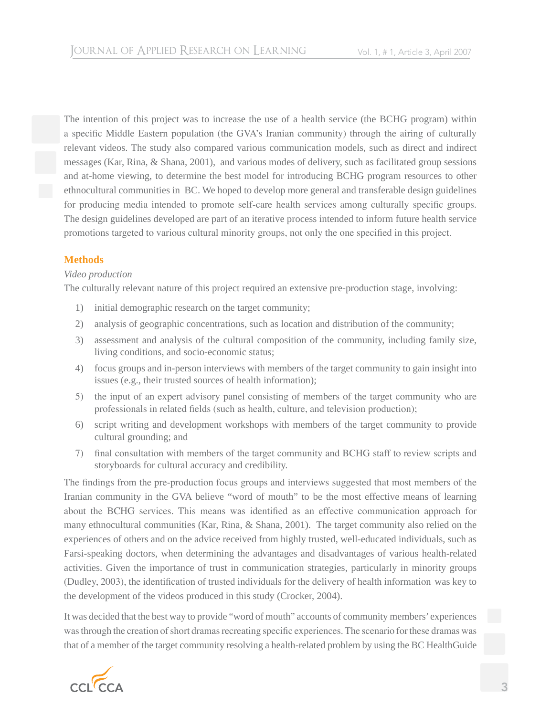The intention of this project was to increase the use of a health service (the BCHG program) within a specific Middle Eastern population (the GVA's Iranian community) through the airing of culturally relevant videos. The study also compared various communication models, such as direct and indirect messages (Kar, Rina, & Shana, 2001), and various modes of delivery, such as facilitated group sessions and at-home viewing, to determine the best model for introducing BCHG program resources to other ethnocultural communities in BC. We hoped to develop more general and transferable design guidelines for producing media intended to promote self-care health services among culturally specific groups. The design guidelines developed are part of an iterative process intended to inform future health service promotions targeted to various cultural minority groups, not only the one specified in this project.

# **Methods**

## *Video production*

The culturally relevant nature of this project required an extensive pre-production stage, involving:

- 1) initial demographic research on the target community;
- 2) analysis of geographic concentrations, such as location and distribution of the community;
- 3) assessment and analysis of the cultural composition of the community, including family size, living conditions, and socio-economic status;
- 4) focus groups and in-person interviews with members of the target community to gain insight into issues (e.g., their trusted sources of health information);
- 5) the input of an expert advisory panel consisting of members of the target community who are professionals in related fields (such as health, culture, and television production);
- 6) script writing and development workshops with members of the target community to provide cultural grounding; and
- 7) final consultation with members of the target community and BCHG staff to review scripts and storyboards for cultural accuracy and credibility.

The findings from the pre-production focus groups and interviews suggested that most members of the Iranian community in the GVA believe "word of mouth" to be the most effective means of learning about the BCHG services. This means was identified as an effective communication approach for many ethnocultural communities (Kar, Rina, & Shana, 2001). The target community also relied on the experiences of others and on the advice received from highly trusted, well-educated individuals, such as Farsi-speaking doctors, when determining the advantages and disadvantages of various health-related activities. Given the importance of trust in communication strategies, particularly in minority groups (Dudley, 2003), the identification of trusted individuals for the delivery of health information was key to the development of the videos produced in this study (Crocker, 2004).

It was decided that the best way to provide "word of mouth" accounts of community members' experiences was through the creation of short dramas recreating specific experiences. The scenario for these dramas was that of a member of the target community resolving a health-related problem by using the BC HealthGuide

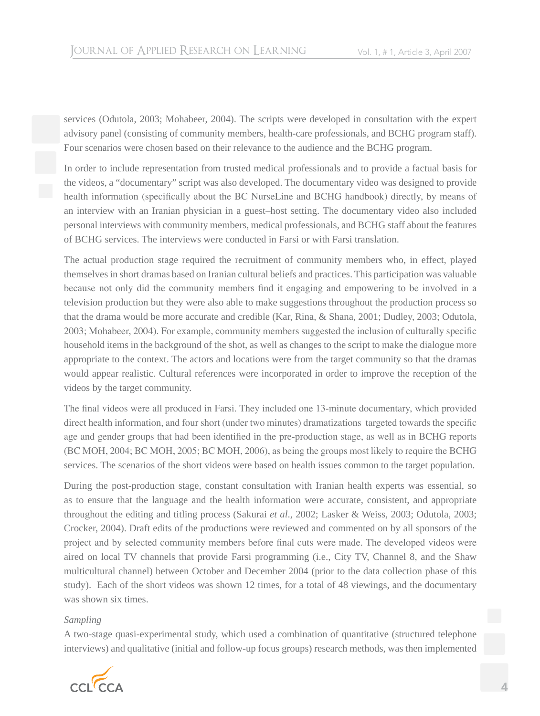services (Odutola, 2003; Mohabeer, 2004). The scripts were developed in consultation with the expert advisory panel (consisting of community members, health-care professionals, and BCHG program staff). Four scenarios were chosen based on their relevance to the audience and the BCHG program.

In order to include representation from trusted medical professionals and to provide a factual basis for the videos, a "documentary" script was also developed. The documentary video was designed to provide health information (specifically about the BC NurseLine and BCHG handbook) directly, by means of an interview with an Iranian physician in a guest–host setting. The documentary video also included personal interviews with community members, medical professionals, and BCHG staff about the features of BCHG services. The interviews were conducted in Farsi or with Farsi translation.

The actual production stage required the recruitment of community members who, in effect, played themselves in short dramas based on Iranian cultural beliefs and practices. This participation was valuable because not only did the community members find it engaging and empowering to be involved in a television production but they were also able to make suggestions throughout the production process so that the drama would be more accurate and credible (Kar, Rina, & Shana, 2001; Dudley, 2003; Odutola, 2003; Mohabeer, 2004). For example, community members suggested the inclusion of culturally specific household items in the background of the shot, as well as changes to the script to make the dialogue more appropriate to the context. The actors and locations were from the target community so that the dramas would appear realistic. Cultural references were incorporated in order to improve the reception of the videos by the target community.

The final videos were all produced in Farsi. They included one 13-minute documentary, which provided direct health information, and four short (under two minutes) dramatizations targeted towards the specific age and gender groups that had been identified in the pre-production stage, as well as in BCHG reports (BC MOH, 2004; BC MOH, 2005; BC MOH, 2006), as being the groups most likely to require the BCHG services. The scenarios of the short videos were based on health issues common to the target population.

During the post-production stage, constant consultation with Iranian health experts was essential, so as to ensure that the language and the health information were accurate, consistent, and appropriate throughout the editing and titling process (Sakurai *et al*., 2002; Lasker & Weiss, 2003; Odutola, 2003; Crocker, 2004). Draft edits of the productions were reviewed and commented on by all sponsors of the project and by selected community members before final cuts were made. The developed videos were aired on local TV channels that provide Farsi programming (i.e., City TV, Channel 8, and the Shaw multicultural channel) between October and December 2004 (prior to the data collection phase of this study). Each of the short videos was shown 12 times, for a total of 48 viewings, and the documentary was shown six times.

## *Sampling*

A two-stage quasi-experimental study, which used a combination of quantitative (structured telephone interviews) and qualitative (initial and follow-up focus groups) research methods, was then implemented

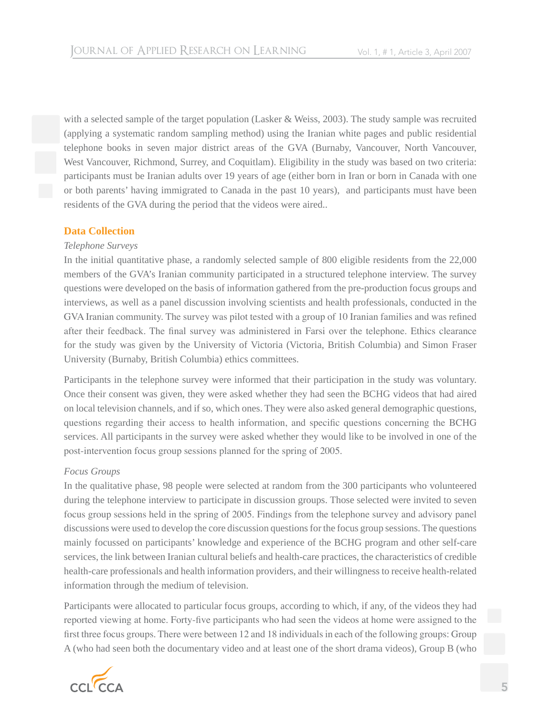with a selected sample of the target population (Lasker & Weiss, 2003). The study sample was recruited (applying a systematic random sampling method) using the Iranian white pages and public residential telephone books in seven major district areas of the GVA (Burnaby, Vancouver, North Vancouver, West Vancouver, Richmond, Surrey, and Coquitlam). Eligibility in the study was based on two criteria: participants must be Iranian adults over 19 years of age (either born in Iran or born in Canada with one or both parents' having immigrated to Canada in the past 10 years), and participants must have been residents of the GVA during the period that the videos were aired..

## **Data Collection**

## *Telephone Surveys*

In the initial quantitative phase, a randomly selected sample of 800 eligible residents from the 22,000 members of the GVA's Iranian community participated in a structured telephone interview. The survey questions were developed on the basis of information gathered from the pre-production focus groups and interviews, as well as a panel discussion involving scientists and health professionals, conducted in the GVA Iranian community. The survey was pilot tested with a group of 10 Iranian families and was refined after their feedback. The final survey was administered in Farsi over the telephone. Ethics clearance for the study was given by the University of Victoria (Victoria, British Columbia) and Simon Fraser University (Burnaby, British Columbia) ethics committees.

Participants in the telephone survey were informed that their participation in the study was voluntary. Once their consent was given, they were asked whether they had seen the BCHG videos that had aired on local television channels, and if so, which ones. They were also asked general demographic questions, questions regarding their access to health information, and specific questions concerning the BCHG services. All participants in the survey were asked whether they would like to be involved in one of the post-intervention focus group sessions planned for the spring of 2005.

## *Focus Groups*

In the qualitative phase, 98 people were selected at random from the 300 participants who volunteered during the telephone interview to participate in discussion groups. Those selected were invited to seven focus group sessions held in the spring of 2005. Findings from the telephone survey and advisory panel discussions were used to develop the core discussion questions for the focus group sessions. The questions mainly focussed on participants' knowledge and experience of the BCHG program and other self-care services, the link between Iranian cultural beliefs and health-care practices, the characteristics of credible health-care professionals and health information providers, and their willingness to receive health-related information through the medium of television.

Participants were allocated to particular focus groups, according to which, if any, of the videos they had reported viewing at home. Forty-five participants who had seen the videos at home were assigned to the first three focus groups. There were between 12 and 18 individuals in each of the following groups: Group A (who had seen both the documentary video and at least one of the short drama videos), Group B (who

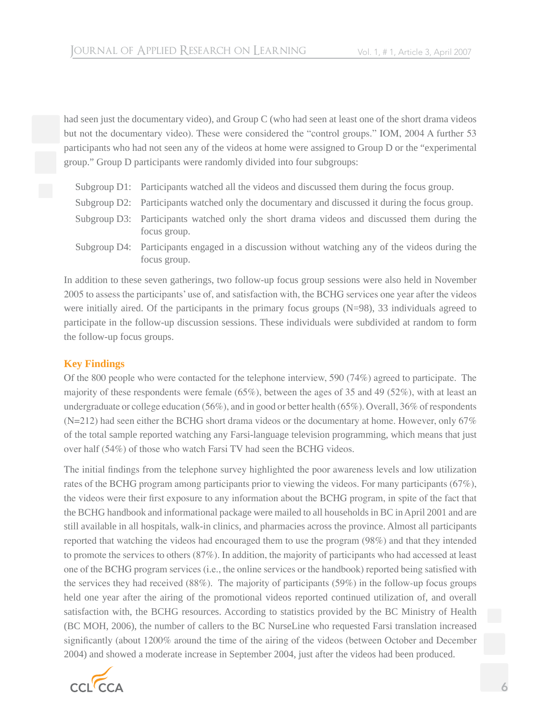had seen just the documentary video), and Group C (who had seen at least one of the short drama videos but not the documentary video). These were considered the "control groups." IOM, 2004 A further 53 participants who had not seen any of the videos at home were assigned to Group D or the "experimental group." Group D participants were randomly divided into four subgroups:

- Subgroup D1: Participants watched all the videos and discussed them during the focus group.
- Subgroup D2: Participants watched only the documentary and discussed it during the focus group.
- Subgroup D3: Participants watched only the short drama videos and discussed them during the focus group.
- Subgroup D4: Participants engaged in a discussion without watching any of the videos during the focus group.

In addition to these seven gatherings, two follow-up focus group sessions were also held in November 2005 to assess the participants' use of, and satisfaction with, the BCHG services one year after the videos were initially aired. Of the participants in the primary focus groups (N=98), 33 individuals agreed to participate in the follow-up discussion sessions. These individuals were subdivided at random to form the follow-up focus groups.

# **Key Findings**

Of the 800 people who were contacted for the telephone interview, 590 (74%) agreed to participate. The majority of these respondents were female (65%), between the ages of 35 and 49 (52%), with at least an undergraduate or college education (56%), and in good or better health (65%). Overall, 36% of respondents  $(N=212)$  had seen either the BCHG short drama videos or the documentary at home. However, only 67% of the total sample reported watching any Farsi-language television programming, which means that just over half (54%) of those who watch Farsi TV had seen the BCHG videos.

The initial findings from the telephone survey highlighted the poor awareness levels and low utilization rates of the BCHG program among participants prior to viewing the videos. For many participants (67%), the videos were their first exposure to any information about the BCHG program, in spite of the fact that the BCHG handbook and informational package were mailed to all households in BC in April 2001 and are still available in all hospitals, walk-in clinics, and pharmacies across the province. Almost all participants reported that watching the videos had encouraged them to use the program (98%) and that they intended to promote the services to others (87%). In addition, the majority of participants who had accessed at least one of the BCHG program services (i.e., the online services or the handbook) reported being satisfied with the services they had received (88%). The majority of participants (59%) in the follow-up focus groups held one year after the airing of the promotional videos reported continued utilization of, and overall satisfaction with, the BCHG resources. According to statistics provided by the BC Ministry of Health (BC MOH, 2006), the number of callers to the BC NurseLine who requested Farsi translation increased significantly (about 1200% around the time of the airing of the videos (between October and December 2004) and showed a moderate increase in September 2004, just after the videos had been produced.

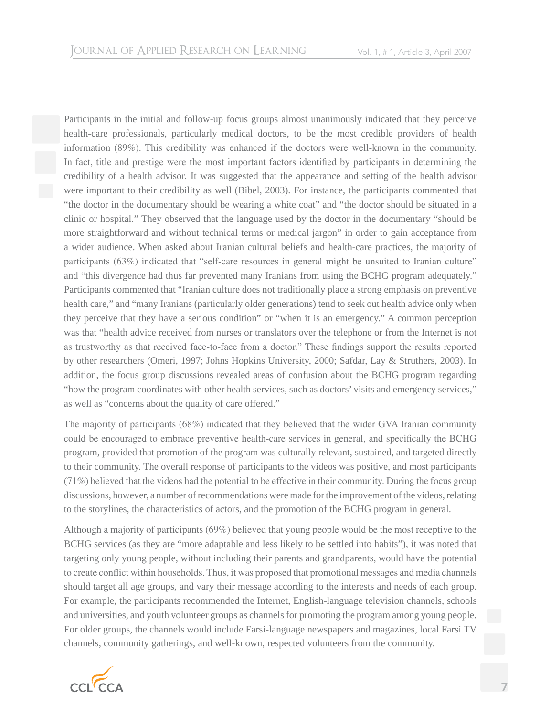Participants in the initial and follow-up focus groups almost unanimously indicated that they perceive health-care professionals, particularly medical doctors, to be the most credible providers of health information (89%). This credibility was enhanced if the doctors were well-known in the community. In fact, title and prestige were the most important factors identified by participants in determining the credibility of a health advisor. It was suggested that the appearance and setting of the health advisor were important to their credibility as well (Bibel, 2003). For instance, the participants commented that "the doctor in the documentary should be wearing a white coat" and "the doctor should be situated in a clinic or hospital." They observed that the language used by the doctor in the documentary "should be more straightforward and without technical terms or medical jargon" in order to gain acceptance from a wider audience. When asked about Iranian cultural beliefs and health-care practices, the majority of participants (63%) indicated that "self-care resources in general might be unsuited to Iranian culture" and "this divergence had thus far prevented many Iranians from using the BCHG program adequately." Participants commented that "Iranian culture does not traditionally place a strong emphasis on preventive health care," and "many Iranians (particularly older generations) tend to seek out health advice only when they perceive that they have a serious condition" or "when it is an emergency." A common perception was that "health advice received from nurses or translators over the telephone or from the Internet is not as trustworthy as that received face-to-face from a doctor." These findings support the results reported by other researchers (Omeri, 1997; Johns Hopkins University, 2000; Safdar, Lay & Struthers, 2003). In addition, the focus group discussions revealed areas of confusion about the BCHG program regarding "how the program coordinates with other health services, such as doctors' visits and emergency services," as well as "concerns about the quality of care offered."

The majority of participants (68%) indicated that they believed that the wider GVA Iranian community could be encouraged to embrace preventive health-care services in general, and specifically the BCHG program, provided that promotion of the program was culturally relevant, sustained, and targeted directly to their community. The overall response of participants to the videos was positive, and most participants (71%) believed that the videos had the potential to be effective in their community. During the focus group discussions, however, a number of recommendations were made for the improvement of the videos, relating to the storylines, the characteristics of actors, and the promotion of the BCHG program in general.

Although a majority of participants (69%) believed that young people would be the most receptive to the BCHG services (as they are "more adaptable and less likely to be settled into habits"), it was noted that targeting only young people, without including their parents and grandparents, would have the potential to create conflict within households. Thus, it was proposed that promotional messages and media channels should target all age groups, and vary their message according to the interests and needs of each group. For example, the participants recommended the Internet, English-language television channels, schools and universities, and youth volunteer groups as channels for promoting the program among young people. For older groups, the channels would include Farsi-language newspapers and magazines, local Farsi TV channels, community gatherings, and well-known, respected volunteers from the community.

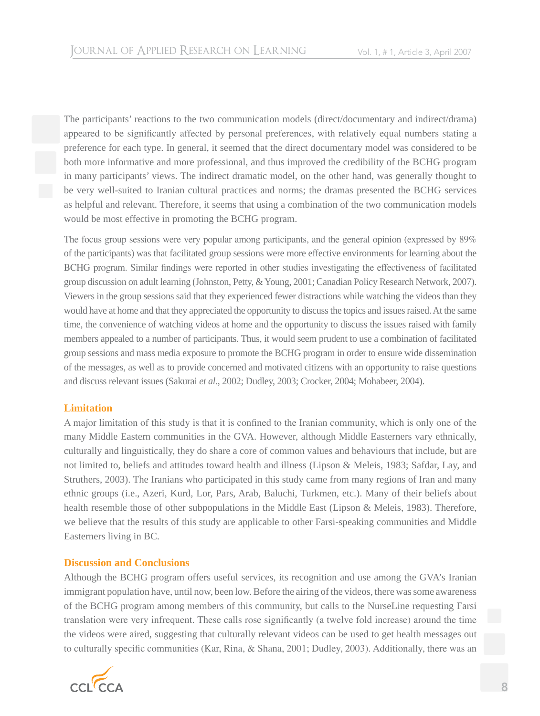The participants' reactions to the two communication models (direct/documentary and indirect/drama) appeared to be significantly affected by personal preferences, with relatively equal numbers stating a preference for each type. In general, it seemed that the direct documentary model was considered to be both more informative and more professional, and thus improved the credibility of the BCHG program in many participants' views. The indirect dramatic model, on the other hand, was generally thought to be very well-suited to Iranian cultural practices and norms; the dramas presented the BCHG services as helpful and relevant. Therefore, it seems that using a combination of the two communication models would be most effective in promoting the BCHG program.

The focus group sessions were very popular among participants, and the general opinion (expressed by 89% of the participants) was that facilitated group sessions were more effective environments for learning about the BCHG program. Similar findings were reported in other studies investigating the effectiveness of facilitated group discussion on adult learning (Johnston, Petty, & Young, 2001; Canadian Policy Research Network, 2007). Viewers in the group sessions said that they experienced fewer distractions while watching the videos than they would have at home and that they appreciated the opportunity to discuss the topics and issues raised. At the same time, the convenience of watching videos at home and the opportunity to discuss the issues raised with family members appealed to a number of participants. Thus, it would seem prudent to use a combination of facilitated group sessions and mass media exposure to promote the BCHG program in order to ensure wide dissemination of the messages, as well as to provide concerned and motivated citizens with an opportunity to raise questions and discuss relevant issues (Sakurai *et al.*, 2002; Dudley, 2003; Crocker, 2004; Mohabeer, 2004).

## **Limitation**

A major limitation of this study is that it is confined to the Iranian community, which is only one of the many Middle Eastern communities in the GVA. However, although Middle Easterners vary ethnically, culturally and linguistically, they do share a core of common values and behaviours that include, but are not limited to, beliefs and attitudes toward health and illness (Lipson & Meleis, 1983; Safdar, Lay, and Struthers, 2003). The Iranians who participated in this study came from many regions of Iran and many ethnic groups (i.e., Azeri, Kurd, Lor, Pars, Arab, Baluchi, Turkmen, etc.). Many of their beliefs about health resemble those of other subpopulations in the Middle East (Lipson & Meleis, 1983). Therefore, we believe that the results of this study are applicable to other Farsi-speaking communities and Middle Easterners living in BC.

## **Discussion and Conclusions**

Although the BCHG program offers useful services, its recognition and use among the GVA's Iranian immigrant population have, until now, been low. Before the airing of the videos, there was some awareness of the BCHG program among members of this community, but calls to the NurseLine requesting Farsi translation were very infrequent. These calls rose significantly (a twelve fold increase) around the time the videos were aired, suggesting that culturally relevant videos can be used to get health messages out to culturally specific communities (Kar, Rina, & Shana, 2001; Dudley, 2003). Additionally, there was an

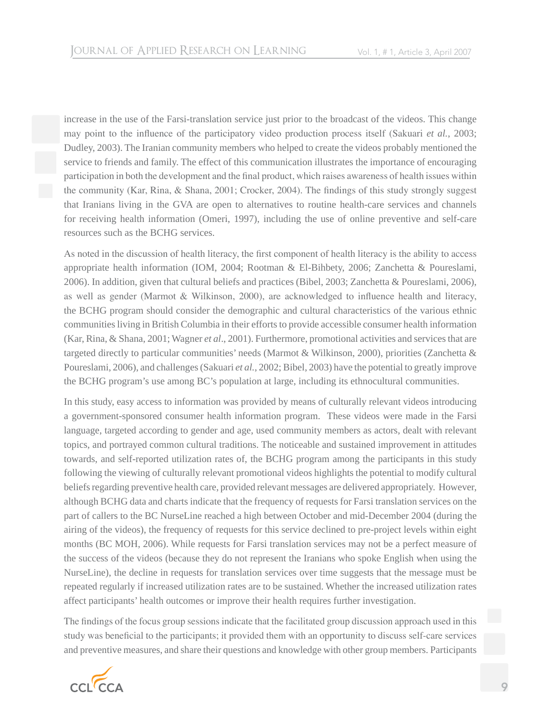increase in the use of the Farsi-translation service just prior to the broadcast of the videos. This change may point to the influence of the participatory video production process itself (Sakuari *et al.*, 2003; Dudley, 2003). The Iranian community members who helped to create the videos probably mentioned the service to friends and family. The effect of this communication illustrates the importance of encouraging participation in both the development and the final product, which raises awareness of health issues within the community (Kar, Rina, & Shana, 2001; Crocker, 2004). The findings of this study strongly suggest that Iranians living in the GVA are open to alternatives to routine health-care services and channels for receiving health information (Omeri, 1997), including the use of online preventive and self-care resources such as the BCHG services.

As noted in the discussion of health literacy, the first component of health literacy is the ability to access appropriate health information (IOM, 2004; Rootman & El-Bihbety, 2006; Zanchetta & Poureslami, 2006). In addition, given that cultural beliefs and practices (Bibel, 2003; Zanchetta & Poureslami, 2006), as well as gender (Marmot & Wilkinson, 2000), are acknowledged to influence health and literacy, the BCHG program should consider the demographic and cultural characteristics of the various ethnic communities living in British Columbia in their efforts to provide accessible consumer health information (Kar, Rina, & Shana, 2001; Wagner *et al*., 2001). Furthermore, promotional activities and services that are targeted directly to particular communities' needs (Marmot & Wilkinson, 2000), priorities (Zanchetta & Poureslami, 2006), and challenges (Sakuari *et al.*, 2002; Bibel, 2003) have the potential to greatly improve the BCHG program's use among BC's population at large, including its ethnocultural communities.

In this study, easy access to information was provided by means of culturally relevant videos introducing a government-sponsored consumer health information program. These videos were made in the Farsi language, targeted according to gender and age, used community members as actors, dealt with relevant topics, and portrayed common cultural traditions. The noticeable and sustained improvement in attitudes towards, and self-reported utilization rates of, the BCHG program among the participants in this study following the viewing of culturally relevant promotional videos highlights the potential to modify cultural beliefs regarding preventive health care, provided relevant messages are delivered appropriately. However, although BCHG data and charts indicate that the frequency of requests for Farsi translation services on the part of callers to the BC NurseLine reached a high between October and mid-December 2004 (during the airing of the videos), the frequency of requests for this service declined to pre-project levels within eight months (BC MOH, 2006). While requests for Farsi translation services may not be a perfect measure of the success of the videos (because they do not represent the Iranians who spoke English when using the NurseLine), the decline in requests for translation services over time suggests that the message must be repeated regularly if increased utilization rates are to be sustained. Whether the increased utilization rates affect participants' health outcomes or improve their health requires further investigation.

The findings of the focus group sessions indicate that the facilitated group discussion approach used in this study was beneficial to the participants; it provided them with an opportunity to discuss self-care services and preventive measures, and share their questions and knowledge with other group members. Participants

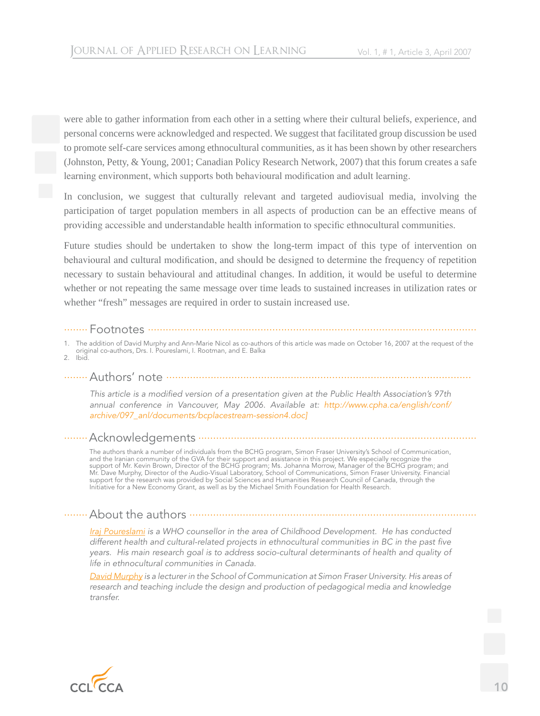were able to gather information from each other in a setting where their cultural beliefs, experience, and personal concerns were acknowledged and respected. We suggest that facilitated group discussion be used to promote self-care services among ethnocultural communities, as it has been shown by other researchers (Johnston, Petty, & Young, 2001; Canadian Policy Research Network, 2007) that this forum creates a safe learning environment, which supports both behavioural modification and adult learning.

In conclusion, we suggest that culturally relevant and targeted audiovisual media, involving the participation of target population members in all aspects of production can be an effective means of providing accessible and understandable health information to specific ethnocultural communities.

Future studies should be undertaken to show the long-term impact of this type of intervention on behavioural and cultural modification, and should be designed to determine the frequency of repetition necessary to sustain behavioural and attitudinal changes. In addition, it would be useful to determine whether or not repeating the same message over time leads to sustained increases in utilization rates or whether "fresh" messages are required in order to sustain increased use.

#### ........ Footnotes ...............................................................................................................

1. The addition of David Murphy and Ann-Marie Nicol as co-authors of this article was made on October 16, 2007 at the request of the

original co-authors, Drs. I. Poureslami, I. Rootman, and E. Balka

2. Ibid.

## ........Authors' note .......................................................................................................

*This article is a modified version of a presentation given at the Public Health Association's 97th annual conference in Vancouver, May 2006. Available at: http://www.cpha.ca/english/conf/ archive/097\_anl/documents/bcplacestream-session4.doc]*

## ........Acknowledgements ..............................................................................................

 The authors thank a number of individuals from the BCHG program, Simon Fraser University's School of Communication, and the Iranian community of the GVA for their support and assistance in this project. We especially recognize the support of Mr. Kevin Brown, Director of the BCHG program; Ms. Johanna Morrow, Manager of the BCHG program; and Mr. Dave Murphy, Director of the Audio-Visual Laboratory, School of Communications, Simon Fraser University. Financial support for the research was provided by Social Sciences and Humanities Research Council of Canada, through the Initiative for a New Economy Grant, as well as by the Michael Smith Foundation for Health Research.

## ........About the authors .................................................................................................

*Iraj Poureslami is a WHO counsellor in the area of Childhood Development. He has conducted different health and cultural-related projects in ethnocultural communities in BC in the past five years. His main research goal is to address socio-cultural determinants of health and quality of life in ethnocultural communities in Canada.* 

*David Murphy is a lecturer in the School of Communication at Simon Fraser University. His areas of research and teaching include the design and production of pedagogical media and knowledge transfer.*

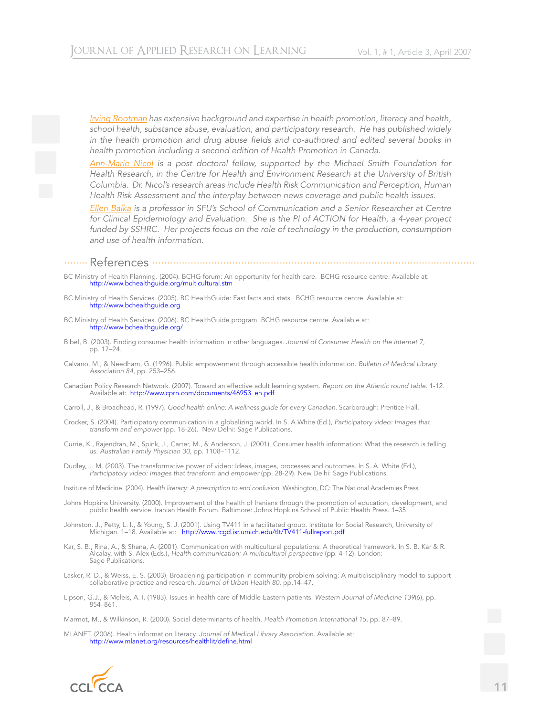*Irving Rootman has extensive background and expertise in health promotion, literacy and health, school health, substance abuse, evaluation, and participatory research. He has published widely*  in the health promotion and drug abuse fields and co-authored and edited several books in *health promotion including a second edition of Health Promotion in Canada.* 

*Ann-Marie Nicol is a post doctoral fellow, supported by the Michael Smith Foundation for Health Research, in the Centre for Health and Environment Research at the University of British Columbia. Dr. Nicol's research areas include Health Risk Communication and Perception, Human Health Risk Assessment and the interplay between news coverage and public health issues.*

*Ellen Balka is a professor in SFU's School of Communication and a Senior Researcher at Centre for Clinical Epidemiology and Evaluation. She is the PI of ACTION for Health, a 4-year project*  funded by SSHRC. Her projects focus on the role of technology in the production, consumption *and use of health information.*

#### ........ References .............................................................................................................

- BC Ministry of Health Planning. (2004). BCHG forum: An opportunity for health care. BCHG resource centre. Available at: http://www.bchealthguide.org/multicultural.stm
- BC Ministry of Health Services. (2005). BC HealthGuide: Fast facts and stats. BCHG resource centre. Available at: http://www.bchealthguide.org
- BC Ministry of Health Services. (2006). BC HealthGuide program. BCHG resource centre. Available at: http://www.bchealthguide.org/
- Bibel, B. (2003). Finding consumer health information in other languages. *Journal of Consumer Health on the Internet 7*, pp. 17–24.
- Calvano. M., & Needham, G. (1996). Public empowerment through accessible health information. *Bulletin of Medical Library Association 84*, pp. 253–256.
- Canadian Policy Research Network. (2007). Toward an effective adult learning system. *Report on the Atlantic round table.* 1-12. Available at: http://www.cprn.com/documents/46953\_en.pdf
- Carroll, J., & Broadhead, R. (1997). *Good health online: A wellness guide for every Canadian*. Scarborough: Prentice Hall.
- Crocker, S. (2004). Participatory communication in a globalizing world. In S. A.White (Ed.), *Participatory video: Images that transform and empower* (pp. 18-26). New Delhi: Sage Publications.
- Currie, K., Rajendran, M., Spink, J., Carter, M., & Anderson, J. (2001). Consumer health information: What the research is telling us. *Australian Family Physician 30*, pp. 1108–1112.
- Dudley, J. M. (2003). The transformative power of video: Ideas, images, processes and outcomes. In S. A. White (Ed.), *Participatory video: Images that transform and empower* (pp. 28-29). New Delhi: Sage Publications.
- Institute of Medicine. (2004). *Health literacy: A prescription to end confusion*. Washington, DC: The National Academies Press.
- Johns Hopkins University. (2000). Improvement of the health of Iranians through the promotion of education, development, and public health service. Iranian Health Forum. Baltimore: Johns Hopkins School of Public Health Press. 1–35.
- Johnston. J., Petty, L. I., & Young, S. J. (2001). Using TV411 in a facilitated group. Institute for Social Research, University of Michigan. 1–18. Available at: http://www.rcgd.isr.umich.edu/tlt/TV411-fullreport.pdf
- Kar, S. B., Rina, A., & Shana, A. (2001). Communication with multicultural populations: A theoretical framework. In S. B. Kar & R. Alcalay, with S. Alex (Eds.), *Health communication: A multicultural perspective* (pp. 4-12). London: Sage Publications.
- Lasker, R. D., & Weiss, E. S. (2003). Broadening participation in community problem solving: A multidisciplinary model to support collaborative practice and research. *Journal of Urban Health 80*, pp.14–47.
- Lipson, G.J., & Meleis, A. I. (1983). Issues in health care of Middle Eastern patients. *Western Journal of Medicine 139*(6), pp. 854–861.

Marmot, M., & Wilkinson, R. (2000). Social determinants of health. *Health Promotion International 15*, pp. 87–89.

MLANET. (2006). Health information literacy. *Journal of Medical Library Association.* Available at: http://www.mlanet.org/resources/healthlit/define.html